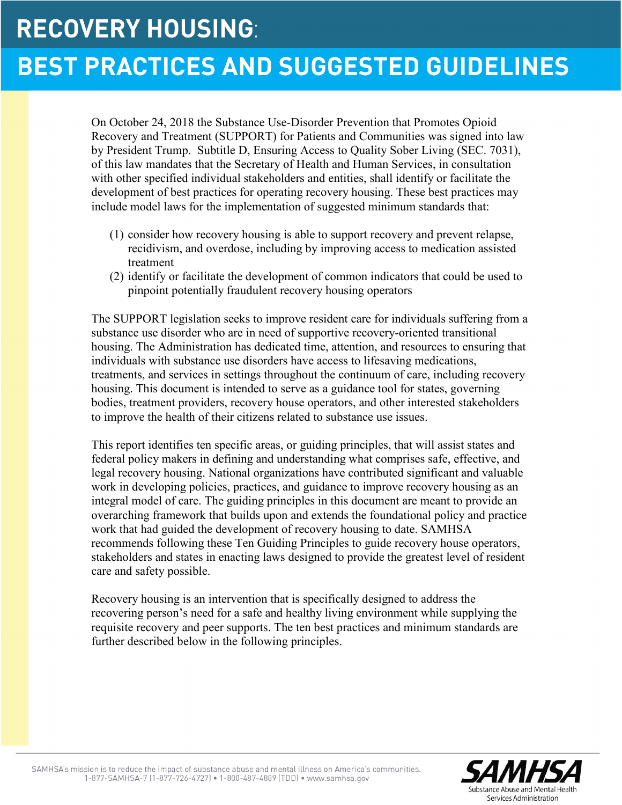# **RECOVERY HOUSING:**

# **BEST PRACTICES AND SUGGESTED GUIDELINES**

On October 24, 2018 the Substance Use-Disorder Prevention that Promotes Opioid Recovery and Treatment (SUPPORT) for Patients and Communities was signed into law by President Trump. Subtitle D, Ensuring Access to Quality Sober Living (SEC. 7031), of this law mandates that the Secretary of Health and Human Services, in consultation with other specified individual stakeholders and entities, shall identify or facilitate the development of best practices for operating recovery housing. These best practices may include model laws for the implementation of suggested minimum standards that:

- (1) consider how recovery housing is able to support recovery and prevent relapse, recidivism, and overdose, including by improving access to medication assisted treatment
- (2) identify or facilitate the development of common indicators that could be used to pinpoint potentially fraudulent recovery housing operators

The SUPPORT legislation seeks to improve resident care for individuals suffering from a substance use disorder who are in need of supportive recovery-oriented transitional housing. The Administration has dedicated time, attention, and resources to ensuring that individuals with substance use disorders have access to lifesaving medications, treatments, and services in settings throughout the continuum of care, including recovery housing. This document is intended to serve as a guidance tool for states, governing bodies, treatment providers, recovery house operators, and other interested stakeholders to improve the health of their citizens related to substance use issues.

This report identifies ten specific areas, or guiding principles, that will assist states and federal policy makers in defining and understanding what comprises safe, effective, and legal recovery housing. National organizations have contributed significant and valuable work in developing policies, practices, and guidance to improve recovery housing as an integral model of care. The guiding principles in this document are meant to provide an overarching framework that builds upon and extends the foundational policy and practice work that had guided the development of recovery housing to date. SAMHSA recommends following these Ten Guiding Principles to guide recovery house operators, stakeholders and states in enacting laws designed to provide the greatest level of resident care and safety possible.

Recovery housing is an intervention that is specifically designed to address the recovering person's need for a safe and healthy living environment while supplying the requisite recovery and peer supports. The ten best practices and minimum standards are further described below in the following principles.

 $\overline{a}$ 

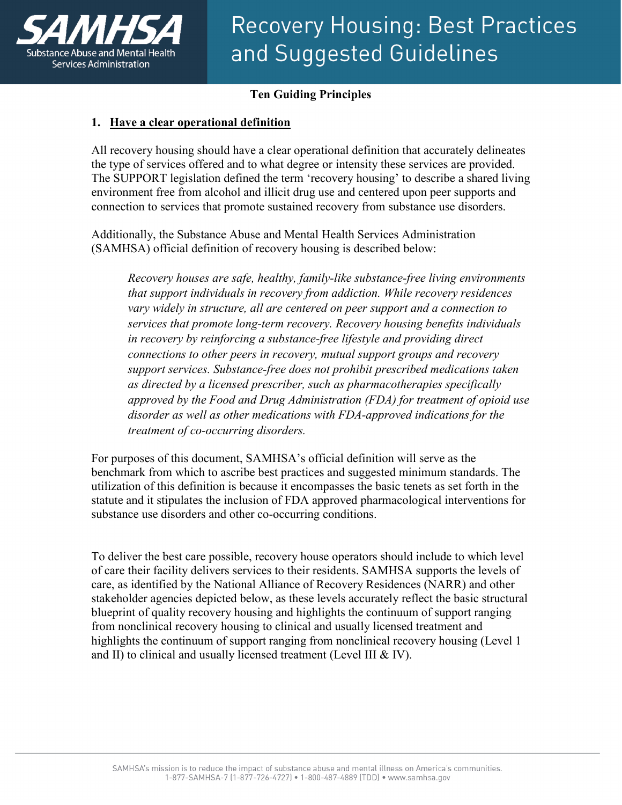

### **Ten Guiding Principles**

### **1. Have a clear operational definition**

All recovery housing should have a clear operational definition that accurately delineates the type of services offered and to what degree or intensity these services are provided. The SUPPORT legislation defined the term 'recovery housing' to describe a shared living environment free from alcohol and illicit drug use and centered upon peer supports and connection to services that promote sustained recovery from substance use disorders.

Additionally, the Substance Abuse and Mental Health Services Administration (SAMHSA) official definition of recovery housing is described below:

*Recovery houses are safe, healthy, family-like substance-free living environments that support individuals in recovery from addiction. While recovery residences vary widely in structure, all are centered on peer support and a connection to services that promote long-term recovery. Recovery housing benefits individuals in recovery by reinforcing a substance-free lifestyle and providing direct connections to other peers in recovery, mutual support groups and recovery support services. Substance-free does not prohibit prescribed medications taken as directed by a licensed prescriber, such as pharmacotherapies specifically approved by the Food and Drug Administration (FDA) for treatment of opioid use disorder as well as other medications with FDA-approved indications for the treatment of co-occurring disorders.*

For purposes of this document, SAMHSA's official definition will serve as the benchmark from which to ascribe best practices and suggested minimum standards. The utilization of this definition is because it encompasses the basic tenets as set forth in the statute and it stipulates the inclusion of FDA approved pharmacological interventions for substance use disorders and other co-occurring conditions.

To deliver the best care possible, recovery house operators should include to which level of care their facility delivers services to their residents. SAMHSA supports the levels of care, as identified by the National Alliance of Recovery Residences (NARR) and other stakeholder agencies depicted below, as these levels accurately reflect the basic structural blueprint of quality recovery housing and highlights the continuum of support ranging from nonclinical recovery housing to clinical and usually licensed treatment and highlights the continuum of support ranging from nonclinical recovery housing (Level 1 and II) to clinical and usually licensed treatment (Level III & IV).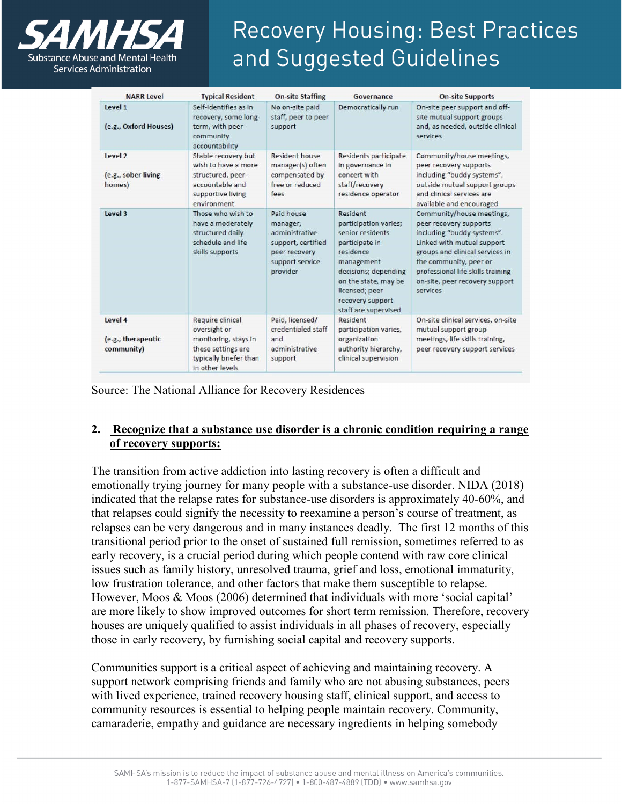

| <b>NARR Level</b>                           | <b>Typical Resident</b>                                                                                                     | <b>On-site Staffing</b>                                                                                        | Governance                                                                                                                                                                                                       | <b>On-site Supports</b>                                                                                                                                                                                                                                         |
|---------------------------------------------|-----------------------------------------------------------------------------------------------------------------------------|----------------------------------------------------------------------------------------------------------------|------------------------------------------------------------------------------------------------------------------------------------------------------------------------------------------------------------------|-----------------------------------------------------------------------------------------------------------------------------------------------------------------------------------------------------------------------------------------------------------------|
| Level 1<br>(e.g., Oxford Houses)            | Self-identifies as in<br>recovery, some long-<br>term, with peer-<br>community<br>accountability                            | No on-site paid<br>staff, peer to peer<br>support                                                              | Democratically run                                                                                                                                                                                               | On-site peer support and off-<br>site mutual support groups<br>and, as needed, outside clinical<br>services                                                                                                                                                     |
| Level 2<br>(e.g., sober living<br>homes)    | Stable recovery but<br>wish to have a more<br>structured, peer-<br>accountable and<br>supportive living<br>environment      | Resident house<br>manager(s) often<br>compensated by<br>free or reduced<br>fees                                | Residents participate<br>in governance in<br>concert with<br>staff/recovery<br>residence operator                                                                                                                | Community/house meetings,<br>peer recovery supports<br>including "buddy systems",<br>outside mutual support groups<br>and clinical services are<br>available and encouraged                                                                                     |
| Level 3                                     | Those who wish to<br>have a moderately<br>structured daily<br>schedule and life<br>skills supports                          | Paid house<br>manager,<br>administrative<br>support, certified<br>peer recovery<br>support service<br>provider | Resident<br>participation varies;<br>senior residents<br>participate in<br>residence<br>management<br>decisions; depending<br>on the state, may be<br>licensed; peer<br>recovery support<br>staff are supervised | Community/house meetings,<br>peer recovery supports<br>including "buddy systems".<br>Linked with mutual support<br>groups and clinical services in<br>the community, peer or<br>professional life skills training<br>on-site, peer recovery support<br>services |
| Level 4<br>(e.g., therapeutic<br>community) | Require clinical<br>oversight or<br>monitoring, stays in<br>these settings are<br>typically briefer than<br>in other levels | Paid, licensed/<br>credentialed staff<br>and<br>administrative<br>support                                      | Resident<br>participation varies,<br>organization<br>authority hierarchy,<br>clinical supervision                                                                                                                | On-site clinical services, on-site<br>mutual support group<br>meetings, life skills training,<br>peer recovery support services                                                                                                                                 |

Source: The National Alliance for Recovery Residences

### **2. Recognize that a substance use disorder is a chronic condition requiring a range of recovery supports:**

The transition from active addiction into lasting recovery is often a difficult and emotionally trying journey for many people with a substance-use disorder. NIDA (2018) indicated that the relapse rates for substance-use disorders is approximately 40-60%, and that relapses could signify the necessity to reexamine a person's course of treatment, as relapses can be very dangerous and in many instances deadly. The first 12 months of this transitional period prior to the onset of sustained full remission, sometimes referred to as early recovery, is a crucial period during which people contend with raw core clinical issues such as family history, unresolved trauma, grief and loss, emotional immaturity, low frustration tolerance, and other factors that make them susceptible to relapse. However, Moos & Moos (2006) determined that individuals with more 'social capital' are more likely to show improved outcomes for short term remission. Therefore, recovery houses are uniquely qualified to assist individuals in all phases of recovery, especially those in early recovery, by furnishing social capital and recovery supports.

Communities support is a critical aspect of achieving and maintaining recovery. A support network comprising friends and family who are not abusing substances, peers with lived experience, trained recovery housing staff, clinical support, and access to community resources is essential to helping people maintain recovery. Community, camaraderie, empathy and guidance are necessary ingredients in helping somebody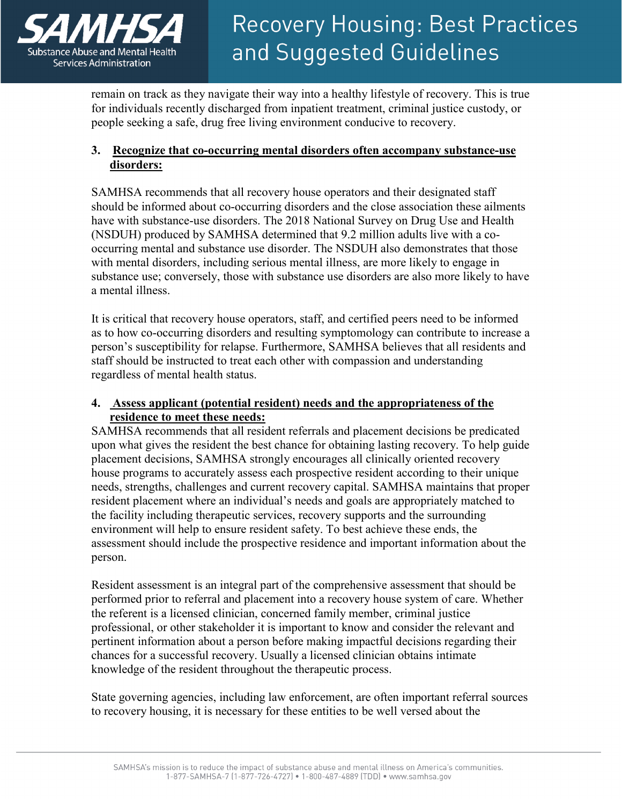

remain on track as they navigate their way into a healthy lifestyle of recovery. This is true for individuals recently discharged from inpatient treatment, criminal justice custody, or people seeking a safe, drug free living environment conducive to recovery.

### **3. Recognize that co-occurring mental disorders often accompany substance-use disorders:**

SAMHSA recommends that all recovery house operators and their designated staff should be informed about co-occurring disorders and the close association these ailments have with substance-use disorders. The 2018 National Survey on Drug Use and Health (NSDUH) produced by SAMHSA determined that 9.2 million adults live with a cooccurring mental and substance use disorder. The NSDUH also demonstrates that those with mental disorders, including serious mental illness, are more likely to engage in substance use; conversely, those with substance use disorders are also more likely to have a mental illness.

It is critical that recovery house operators, staff, and certified peers need to be informed as to how co-occurring disorders and resulting symptomology can contribute to increase a person's susceptibility for relapse. Furthermore, SAMHSA believes that all residents and staff should be instructed to treat each other with compassion and understanding regardless of mental health status.

### **4. Assess applicant (potential resident) needs and the appropriateness of the residence to meet these needs:**

SAMHSA recommends that all resident referrals and placement decisions be predicated upon what gives the resident the best chance for obtaining lasting recovery. To help guide placement decisions, SAMHSA strongly encourages all clinically oriented recovery house programs to accurately assess each prospective resident according to their unique needs, strengths, challenges and current recovery capital. SAMHSA maintains that proper resident placement where an individual's needs and goals are appropriately matched to the facility including therapeutic services, recovery supports and the surrounding environment will help to ensure resident safety. To best achieve these ends, the assessment should include the prospective residence and important information about the person.

Resident assessment is an integral part of the comprehensive assessment that should be performed prior to referral and placement into a recovery house system of care. Whether the referent is a licensed clinician, concerned family member, criminal justice professional, or other stakeholder it is important to know and consider the relevant and pertinent information about a person before making impactful decisions regarding their chances for a successful recovery. Usually a licensed clinician obtains intimate knowledge of the resident throughout the therapeutic process.

State governing agencies, including law enforcement, are often important referral sources to recovery housing, it is necessary for these entities to be well versed about the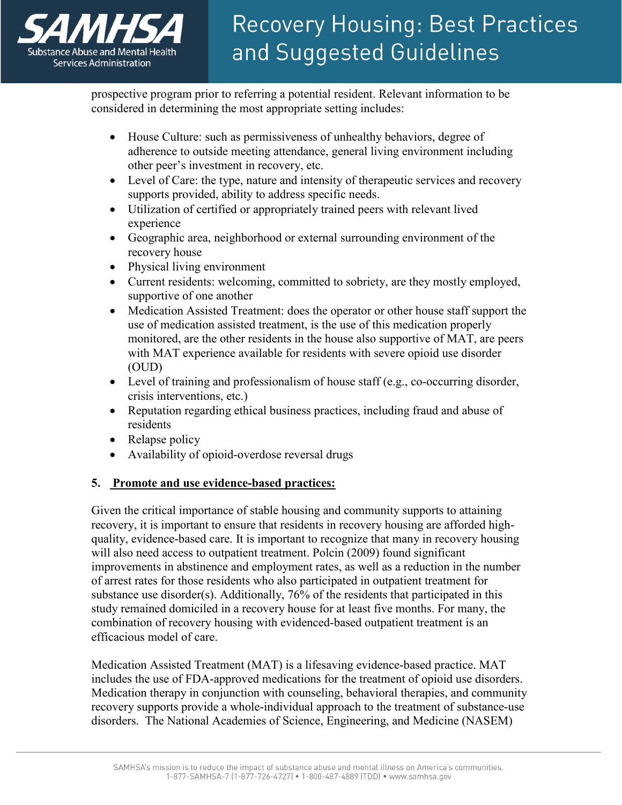

prospective program prior to referring a potential resident. Relevant information to be considered in determining the most appropriate setting includes:

- House Culture: such as permissiveness of unhealthy behaviors, degree of adherence to outside meeting attendance, general living environment including other peer's investment in recovery, etc.
- Level of Care: the type, nature and intensity of therapeutic services and recovery supports provided, ability to address specific needs.
- Utilization of certified or appropriately trained peers with relevant lived experience
- Geographic area, neighborhood or external surrounding environment of the recovery house
- Physical living environment
- Current residents: welcoming, committed to sobriety, are they mostly employed, supportive of one another
- Medication Assisted Treatment: does the operator or other house staff support the use of medication assisted treatment, is the use of this medication properly monitored, are the other residents in the house also supportive of MAT, are peers with MAT experience available for residents with severe opioid use disorder (OUD)
- Level of training and professionalism of house staff (e.g., co-occurring disorder, crisis interventions, etc.)
- Reputation regarding ethical business practices, including fraud and abuse of residents
- Relapse policy
- Availability of opioid-overdose reversal drugs

### **5. Promote and use evidence-based practices:**

Given the critical importance of stable housing and community supports to attaining recovery, it is important to ensure that residents in recovery housing are afforded highquality, evidence-based care. It is important to recognize that many in recovery housing will also need access to outpatient treatment. Polcin (2009) found significant improvements in abstinence and employment rates, as well as a reduction in the number of arrest rates for those residents who also participated in outpatient treatment for substance use disorder(s). Additionally, 76% of the residents that participated in this study remained domiciled in a recovery house for at least five months. For many, the combination of recovery housing with evidenced-based outpatient treatment is an efficacious model of care.

Medication Assisted Treatment (MAT) is a lifesaving evidence-based practice. MAT includes the use of FDA-approved medications for the treatment of opioid use disorders. Medication therapy in conjunction with counseling, behavioral therapies, and community recovery supports provide a whole-individual approach to the treatment of substance-use disorders. The National Academies of Science, Engineering, and Medicine (NASEM)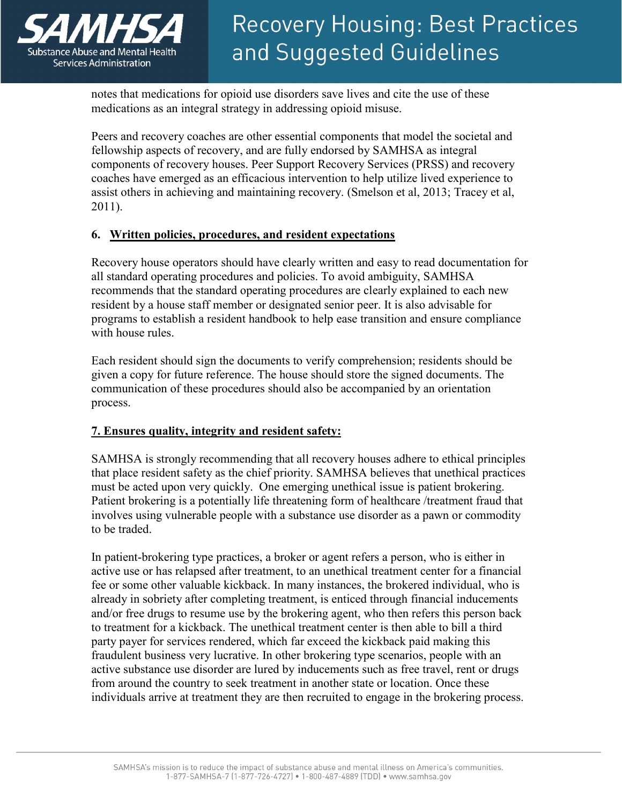

notes that medications for opioid use disorders save lives and cite the use of these medications as an integral strategy in addressing opioid misuse.

Peers and recovery coaches are other essential components that model the societal and fellowship aspects of recovery, and are fully endorsed by SAMHSA as integral components of recovery houses. Peer Support Recovery Services (PRSS) and recovery coaches have emerged as an efficacious intervention to help utilize lived experience to assist others in achieving and maintaining recovery. (Smelson et al, 2013; Tracey et al, 2011).

#### **6. Written policies, procedures, and resident expectations**

Recovery house operators should have clearly written and easy to read documentation for all standard operating procedures and policies. To avoid ambiguity, SAMHSA recommends that the standard operating procedures are clearly explained to each new resident by a house staff member or designated senior peer. It is also advisable for programs to establish a resident handbook to help ease transition and ensure compliance with house rules.

Each resident should sign the documents to verify comprehension; residents should be given a copy for future reference. The house should store the signed documents. The communication of these procedures should also be accompanied by an orientation process.

### **7. Ensures quality, integrity and resident safety:**

SAMHSA is strongly recommending that all recovery houses adhere to ethical principles that place resident safety as the chief priority. SAMHSA believes that unethical practices must be acted upon very quickly. One emerging unethical issue is patient brokering. Patient brokering is a potentially life threatening form of healthcare /treatment fraud that involves using vulnerable people with a substance use disorder as a pawn or commodity to be traded.

In patient-brokering type practices, a broker or agent refers a person, who is either in active use or has relapsed after treatment, to an unethical treatment center for a financial fee or some other valuable kickback. In many instances, the brokered individual, who is already in sobriety after completing treatment, is enticed through financial inducements and/or free drugs to resume use by the brokering agent, who then refers this person back to treatment for a kickback. The unethical treatment center is then able to bill a third party payer for services rendered, which far exceed the kickback paid making this fraudulent business very lucrative. In other brokering type scenarios, people with an active substance use disorder are lured by inducements such as free travel, rent or drugs from around the country to seek treatment in another state or location. Once these individuals arrive at treatment they are then recruited to engage in the brokering process.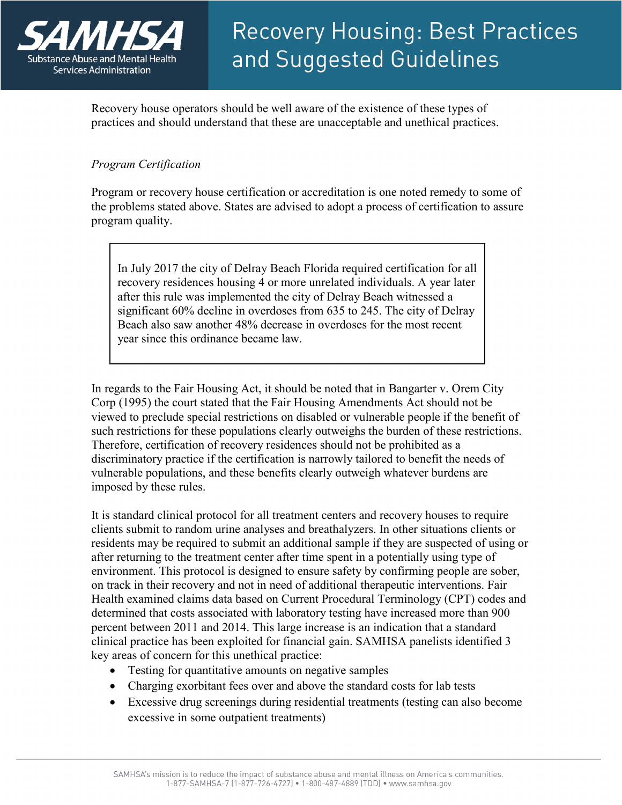

Recovery house operators should be well aware of the existence of these types of practices and should understand that these are unacceptable and unethical practices.

### *Program Certification*

Program or recovery house certification or accreditation is one noted remedy to some of the problems stated above. States are advised to adopt a process of certification to assure program quality.

In July 2017 the city of Delray Beach Florida required certification for all recovery residences housing 4 or more unrelated individuals. A year later after this rule was implemented the city of Delray Beach witnessed a significant 60% decline in overdoses from 635 to 245. The city of Delray Beach also saw another 48% decrease in overdoses for the most recent year since this ordinance became law.

In regards to the Fair Housing Act, it should be noted that in Bangarter v. Orem City Corp (1995) the court stated that the Fair Housing Amendments Act should not be viewed to preclude special restrictions on disabled or vulnerable people if the benefit of such restrictions for these populations clearly outweighs the burden of these restrictions. Therefore, certification of recovery residences should not be prohibited as a discriminatory practice if the certification is narrowly tailored to benefit the needs of vulnerable populations, and these benefits clearly outweigh whatever burdens are imposed by these rules.

It is standard clinical protocol for all treatment centers and recovery houses to require clients submit to random urine analyses and breathalyzers. In other situations clients or residents may be required to submit an additional sample if they are suspected of using or after returning to the treatment center after time spent in a potentially using type of environment. This protocol is designed to ensure safety by confirming people are sober, on track in their recovery and not in need of additional therapeutic interventions. Fair Health examined claims data based on Current Procedural Terminology (CPT) codes and determined that costs associated with laboratory testing have increased more than 900 percent between 2011 and 2014. This large increase is an indication that a standard clinical practice has been exploited for financial gain. SAMHSA panelists identified 3 key areas of concern for this unethical practice:

- Testing for quantitative amounts on negative samples
- Charging exorbitant fees over and above the standard costs for lab tests
- Excessive drug screenings during residential treatments (testing can also become excessive in some outpatient treatments)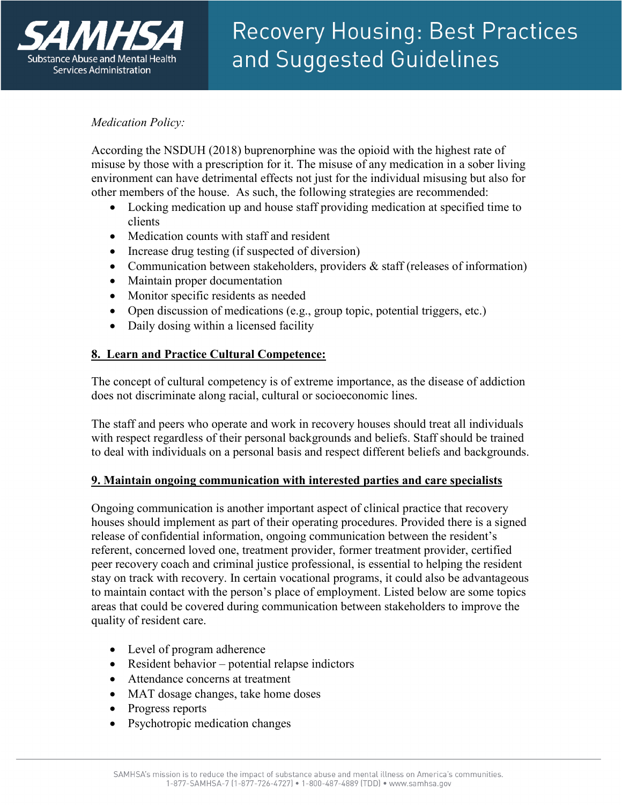

### *Medication Policy:*

According the NSDUH (2018) buprenorphine was the opioid with the highest rate of misuse by those with a prescription for it. The misuse of any medication in a sober living environment can have detrimental effects not just for the individual misusing but also for other members of the house. As such, the following strategies are recommended:

- Locking medication up and house staff providing medication at specified time to clients
- Medication counts with staff and resident
- Increase drug testing (if suspected of diversion)
- Communication between stakeholders, providers  $\&$  staff (releases of information)
- Maintain proper documentation
- Monitor specific residents as needed
- Open discussion of medications (e.g., group topic, potential triggers, etc.)
- Daily dosing within a licensed facility

### **8. Learn and Practice Cultural Competence:**

The concept of cultural competency is of extreme importance, as the disease of addiction does not discriminate along racial, cultural or socioeconomic lines.

The staff and peers who operate and work in recovery houses should treat all individuals with respect regardless of their personal backgrounds and beliefs. Staff should be trained to deal with individuals on a personal basis and respect different beliefs and backgrounds.

### **9. Maintain ongoing communication with interested parties and care specialists**

Ongoing communication is another important aspect of clinical practice that recovery houses should implement as part of their operating procedures. Provided there is a signed release of confidential information, ongoing communication between the resident's referent, concerned loved one, treatment provider, former treatment provider, certified peer recovery coach and criminal justice professional, is essential to helping the resident stay on track with recovery. In certain vocational programs, it could also be advantageous to maintain contact with the person's place of employment. Listed below are some topics areas that could be covered during communication between stakeholders to improve the quality of resident care.

- Level of program adherence
- Resident behavior potential relapse indictors
- Attendance concerns at treatment
- MAT dosage changes, take home doses
- Progress reports
- Psychotropic medication changes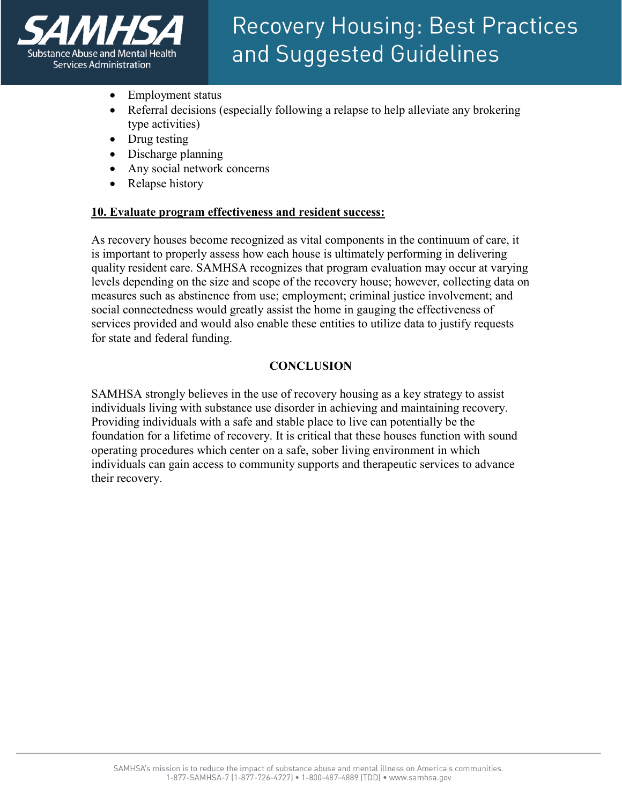

- Employment status
- Referral decisions (especially following a relapse to help alleviate any brokering type activities)
- Drug testing
- Discharge planning
- Any social network concerns
- Relapse history

#### **10. Evaluate program effectiveness and resident success:**

As recovery houses become recognized as vital components in the continuum of care, it is important to properly assess how each house is ultimately performing in delivering quality resident care. SAMHSA recognizes that program evaluation may occur at varying levels depending on the size and scope of the recovery house; however, collecting data on measures such as abstinence from use; employment; criminal justice involvement; and social connectedness would greatly assist the home in gauging the effectiveness of services provided and would also enable these entities to utilize data to justify requests for state and federal funding.

#### **CONCLUSION**

SAMHSA strongly believes in the use of recovery housing as a key strategy to assist individuals living with substance use disorder in achieving and maintaining recovery. Providing individuals with a safe and stable place to live can potentially be the foundation for a lifetime of recovery. It is critical that these houses function with sound operating procedures which center on a safe, sober living environment in which individuals can gain access to community supports and therapeutic services to advance their recovery.